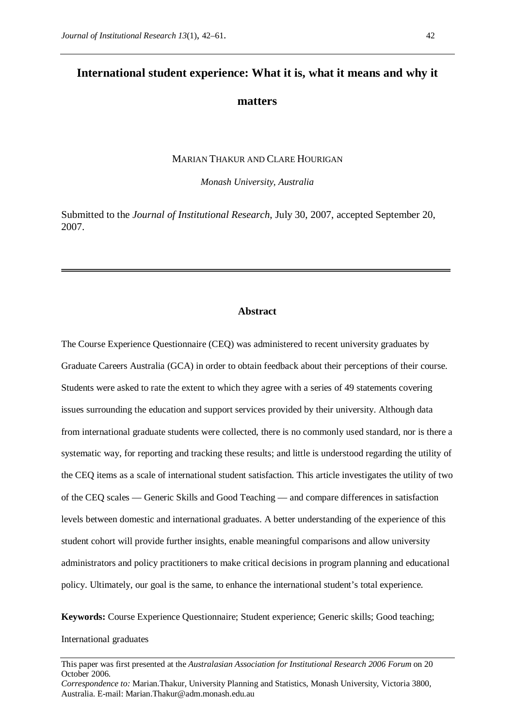# **International student experience: What it is, what it means and why it**

# **matters**

MARIAN THAKUR AND CLARE HOURIGAN

*Monash University, Australia*

Submitted to the *Journal of Institutional Research*, July 30, 2007, accepted September 20, 2007.

#### **Abstract**

The Course Experience Questionnaire (CEQ) was administered to recent university graduates by Graduate Careers Australia (GCA) in order to obtain feedback about their perceptions of their course. Students were asked to rate the extent to which they agree with a series of 49 statements covering issues surrounding the education and support services provided by their university. Although data from international graduate students were collected, there is no commonly used standard, nor is there a systematic way, for reporting and tracking these results; and little is understood regarding the utility of the CEQ items as a scale of international student satisfaction. This article investigates the utility of two of the CEQ scales — Generic Skills and Good Teaching — and compare differences in satisfaction levels between domestic and international graduates. A better understanding of the experience of this student cohort will provide further insights, enable meaningful comparisons and allow university administrators and policy practitioners to make critical decisions in program planning and educational policy. Ultimately, our goal is the same, to enhance the international student's total experience.

**Keywords:** Course Experience Questionnaire; Student experience; Generic skills; Good teaching; International graduates

This paper was first presented at the *Australasian Association for Institutional Research 2006 Forum* on 20 October 2006.

*Correspondence to:* Marian.Thakur, University Planning and Statistics, Monash University, Victoria 3800, Australia. E-mail: Marian.Thakur@adm.monash.edu.au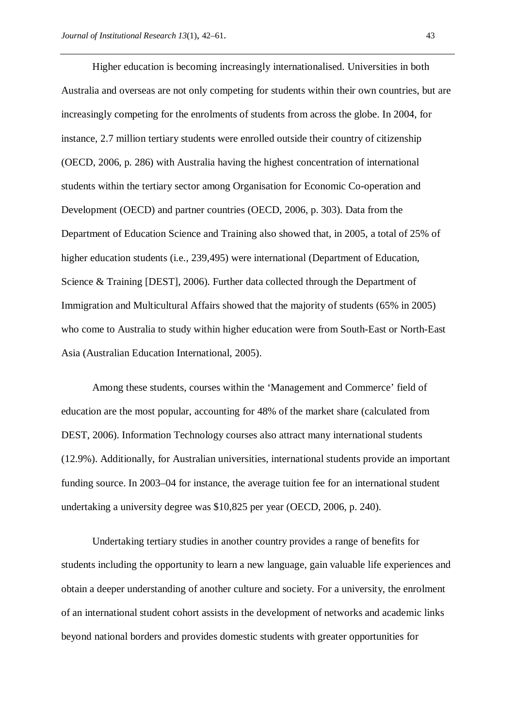Higher education is becoming increasingly internationalised. Universities in both Australia and overseas are not only competing for students within their own countries, but are increasingly competing for the enrolments of students from across the globe. In 2004, for instance, 2.7 million tertiary students were enrolled outside their country of citizenship (OECD, 2006, p. 286) with Australia having the highest concentration of international students within the tertiary sector among Organisation for Economic Co-operation and Development (OECD) and partner countries (OECD, 2006, p. 303). Data from the Department of Education Science and Training also showed that, in 2005, a total of 25% of higher education students (i.e., 239,495) were international (Department of Education, Science & Training [DEST], 2006). Further data collected through the Department of Immigration and Multicultural Affairs showed that the majority of students (65% in 2005) who come to Australia to study within higher education were from South-East or North-East Asia (Australian Education International, 2005).

Among these students, courses within the 'Management and Commerce' field of education are the most popular, accounting for 48% of the market share (calculated from DEST, 2006). Information Technology courses also attract many international students (12.9%). Additionally, for Australian universities, international students provide an important funding source. In 2003–04 for instance, the average tuition fee for an international student undertaking a university degree was \$10,825 per year (OECD, 2006, p. 240).

Undertaking tertiary studies in another country provides a range of benefits for students including the opportunity to learn a new language, gain valuable life experiences and obtain a deeper understanding of another culture and society. For a university, the enrolment of an international student cohort assists in the development of networks and academic links beyond national borders and provides domestic students with greater opportunities for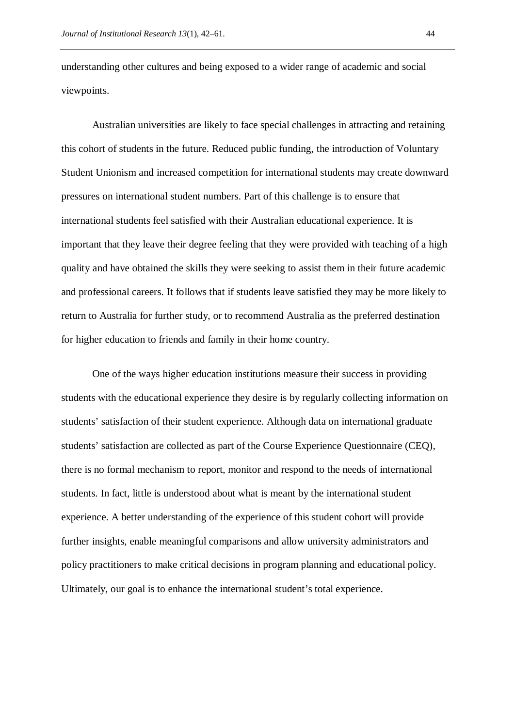understanding other cultures and being exposed to a wider range of academic and social viewpoints.

Australian universities are likely to face special challenges in attracting and retaining this cohort of students in the future. Reduced public funding, the introduction of Voluntary Student Unionism and increased competition for international students may create downward pressures on international student numbers. Part of this challenge is to ensure that international students feel satisfied with their Australian educational experience. It is important that they leave their degree feeling that they were provided with teaching of a high quality and have obtained the skills they were seeking to assist them in their future academic and professional careers. It follows that if students leave satisfied they may be more likely to return to Australia for further study, or to recommend Australia as the preferred destination for higher education to friends and family in their home country.

One of the ways higher education institutions measure their success in providing students with the educational experience they desire is by regularly collecting information on students' satisfaction of their student experience. Although data on international graduate students' satisfaction are collected as part of the Course Experience Questionnaire (CEQ), there is no formal mechanism to report, monitor and respond to the needs of international students. In fact, little is understood about what is meant by the international student experience. A better understanding of the experience of this student cohort will provide further insights, enable meaningful comparisons and allow university administrators and policy practitioners to make critical decisions in program planning and educational policy. Ultimately, our goal is to enhance the international student's total experience.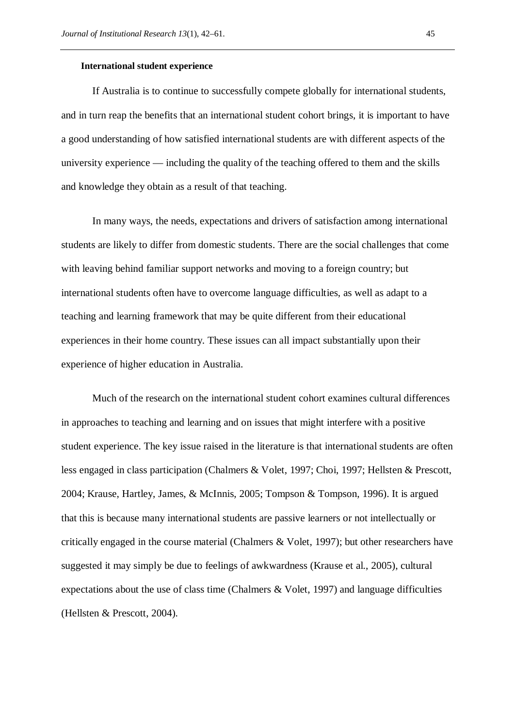#### **International student experience**

If Australia is to continue to successfully compete globally for international students, and in turn reap the benefits that an international student cohort brings, it is important to have a good understanding of how satisfied international students are with different aspects of the university experience — including the quality of the teaching offered to them and the skills and knowledge they obtain as a result of that teaching.

In many ways, the needs, expectations and drivers of satisfaction among international students are likely to differ from domestic students. There are the social challenges that come with leaving behind familiar support networks and moving to a foreign country; but international students often have to overcome language difficulties, as well as adapt to a teaching and learning framework that may be quite different from their educational experiences in their home country. These issues can all impact substantially upon their experience of higher education in Australia.

Much of the research on the international student cohort examines cultural differences in approaches to teaching and learning and on issues that might interfere with a positive student experience. The key issue raised in the literature is that international students are often less engaged in class participation (Chalmers & Volet, 1997; Choi, 1997; Hellsten & Prescott, 2004; Krause, Hartley, James, & McInnis, 2005; Tompson & Tompson, 1996). It is argued that this is because many international students are passive learners or not intellectually or critically engaged in the course material (Chalmers & Volet, 1997); but other researchers have suggested it may simply be due to feelings of awkwardness (Krause et al., 2005), cultural expectations about the use of class time (Chalmers & Volet, 1997) and language difficulties (Hellsten & Prescott, 2004).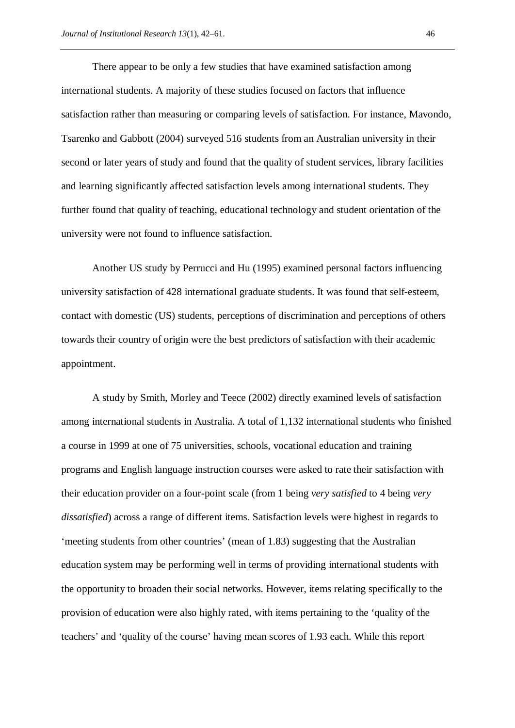There appear to be only a few studies that have examined satisfaction among international students. A majority of these studies focused on factors that influence satisfaction rather than measuring or comparing levels of satisfaction. For instance, Mavondo, Tsarenko and Gabbott (2004) surveyed 516 students from an Australian university in their second or later years of study and found that the quality of student services, library facilities and learning significantly affected satisfaction levels among international students. They further found that quality of teaching, educational technology and student orientation of the university were not found to influence satisfaction.

Another US study by Perrucci and Hu (1995) examined personal factors influencing university satisfaction of 428 international graduate students. It was found that self-esteem, contact with domestic (US) students, perceptions of discrimination and perceptions of others towards their country of origin were the best predictors of satisfaction with their academic appointment.

A study by Smith, Morley and Teece (2002) directly examined levels of satisfaction among international students in Australia. A total of 1,132 international students who finished a course in 1999 at one of 75 universities, schools, vocational education and training programs and English language instruction courses were asked to rate their satisfaction with their education provider on a four-point scale (from 1 being *very satisfied* to 4 being *very dissatisfied*) across a range of different items. Satisfaction levels were highest in regards to 'meeting students from other countries' (mean of 1.83) suggesting that the Australian education system may be performing well in terms of providing international students with the opportunity to broaden their social networks. However, items relating specifically to the provision of education were also highly rated, with items pertaining to the 'quality of the teachers' and 'quality of the course' having mean scores of 1.93 each. While this report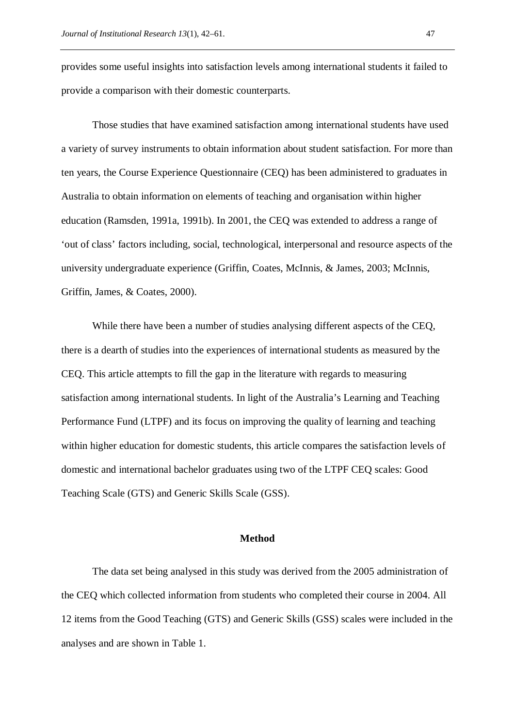provides some useful insights into satisfaction levels among international students it failed to provide a comparison with their domestic counterparts.

Those studies that have examined satisfaction among international students have used a variety of survey instruments to obtain information about student satisfaction. For more than ten years, the Course Experience Questionnaire (CEQ) has been administered to graduates in Australia to obtain information on elements of teaching and organisation within higher education (Ramsden, 1991a, 1991b). In 2001, the CEQ was extended to address a range of 'out of class' factors including, social, technological, interpersonal and resource aspects of the university undergraduate experience (Griffin, Coates, McInnis, & James, 2003; McInnis, Griffin, James, & Coates, 2000).

While there have been a number of studies analysing different aspects of the CEQ, there is a dearth of studies into the experiences of international students as measured by the CEQ. This article attempts to fill the gap in the literature with regards to measuring satisfaction among international students. In light of the Australia's Learning and Teaching Performance Fund (LTPF) and its focus on improving the quality of learning and teaching within higher education for domestic students, this article compares the satisfaction levels of domestic and international bachelor graduates using two of the LTPF CEQ scales: Good Teaching Scale (GTS) and Generic Skills Scale (GSS).

## **Method**

The data set being analysed in this study was derived from the 2005 administration of the CEQ which collected information from students who completed their course in 2004. All 12 items from the Good Teaching (GTS) and Generic Skills (GSS) scales were included in the analyses and are shown in Table 1.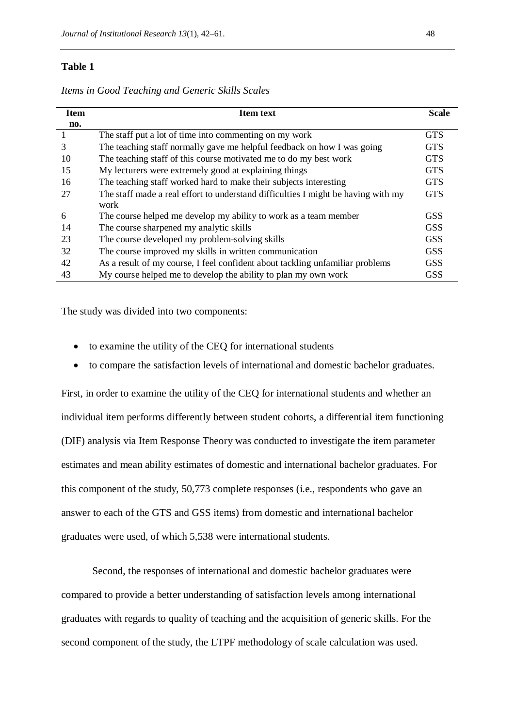**Item no. Item text Scale** 1 The staff put a lot of time into commenting on my work GTS 3 The teaching staff normally gave me helpful feedback on how I was going GTS 10 The teaching staff of this course motivated me to do my best work GTS 15 My lecturers were extremely good at explaining things GTS 16 The teaching staff worked hard to make their subjects interesting GTS 27 The staff made a real effort to understand difficulties I might be having with my work **GTS** 6 The course helped me develop my ability to work as a team member GSS 14 The course sharpened my analytic skills GSS GSS 23 The course developed my problem-solving skills GSS GSS 32 The course improved my skills in written communication GSS 42 As a result of my course, I feel confident about tackling unfamiliar problems GSS 43 My course helped me to develop the ability to plan my own work GSS

*Items in Good Teaching and Generic Skills Scales*

The study was divided into two components:

- to examine the utility of the CEQ for international students
- to compare the satisfaction levels of international and domestic bachelor graduates.

First, in order to examine the utility of the CEQ for international students and whether an individual item performs differently between student cohorts, a differential item functioning (DIF) analysis via Item Response Theory was conducted to investigate the item parameter estimates and mean ability estimates of domestic and international bachelor graduates. For this component of the study, 50,773 complete responses (i.e., respondents who gave an answer to each of the GTS and GSS items) from domestic and international bachelor graduates were used, of which 5,538 were international students.

Second, the responses of international and domestic bachelor graduates were compared to provide a better understanding of satisfaction levels among international graduates with regards to quality of teaching and the acquisition of generic skills. For the second component of the study, the LTPF methodology of scale calculation was used.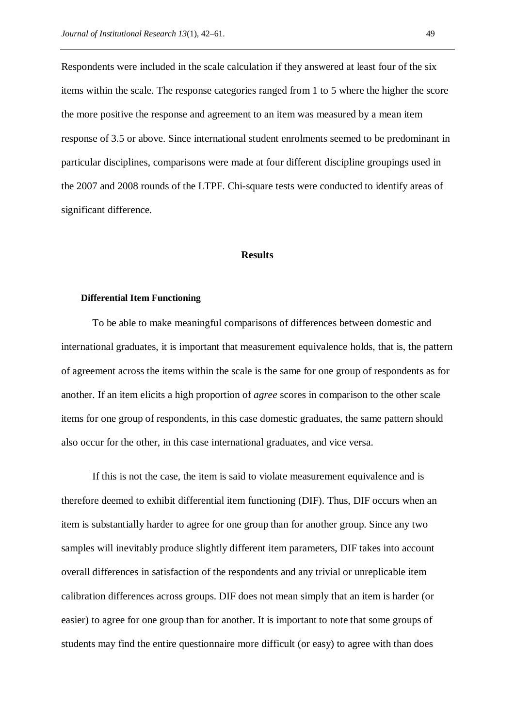Respondents were included in the scale calculation if they answered at least four of the six items within the scale. The response categories ranged from 1 to 5 where the higher the score the more positive the response and agreement to an item was measured by a mean item response of 3.5 or above. Since international student enrolments seemed to be predominant in particular disciplines, comparisons were made at four different discipline groupings used in the 2007 and 2008 rounds of the LTPF. Chi-square tests were conducted to identify areas of significant difference.

#### **Results**

#### **Differential Item Functioning**

To be able to make meaningful comparisons of differences between domestic and international graduates, it is important that measurement equivalence holds, that is, the pattern of agreement across the items within the scale is the same for one group of respondents as for another. If an item elicits a high proportion of *agree* scores in comparison to the other scale items for one group of respondents, in this case domestic graduates, the same pattern should also occur for the other, in this case international graduates, and vice versa.

If this is not the case, the item is said to violate measurement equivalence and is therefore deemed to exhibit differential item functioning (DIF). Thus, DIF occurs when an item is substantially harder to agree for one group than for another group. Since any two samples will inevitably produce slightly different item parameters, DIF takes into account overall differences in satisfaction of the respondents and any trivial or unreplicable item calibration differences across groups. DIF does not mean simply that an item is harder (or easier) to agree for one group than for another. It is important to note that some groups of students may find the entire questionnaire more difficult (or easy) to agree with than does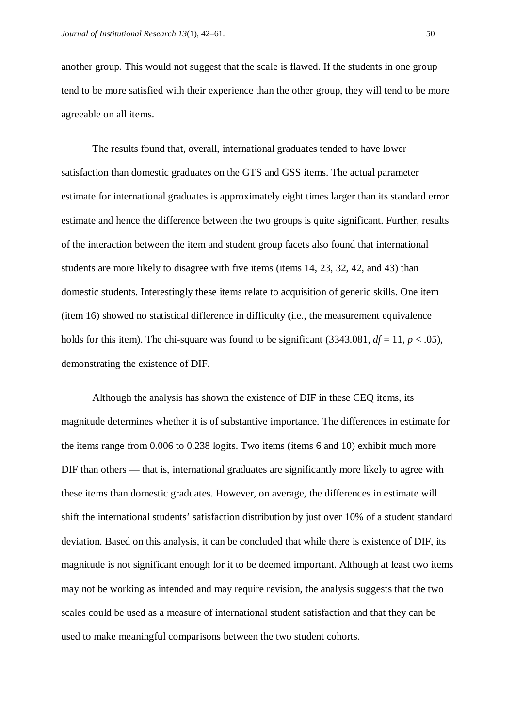another group. This would not suggest that the scale is flawed. If the students in one group tend to be more satisfied with their experience than the other group, they will tend to be more agreeable on all items.

The results found that, overall, international graduates tended to have lower satisfaction than domestic graduates on the GTS and GSS items. The actual parameter estimate for international graduates is approximately eight times larger than its standard error estimate and hence the difference between the two groups is quite significant. Further, results of the interaction between the item and student group facets also found that international students are more likely to disagree with five items (items 14, 23, 32, 42, and 43) than domestic students. Interestingly these items relate to acquisition of generic skills. One item (item 16) showed no statistical difference in difficulty (i.e., the measurement equivalence holds for this item). The chi-square was found to be significant (3343.081,  $df = 11$ ,  $p < .05$ ), demonstrating the existence of DIF.

Although the analysis has shown the existence of DIF in these CEQ items, its magnitude determines whether it is of substantive importance. The differences in estimate for the items range from 0.006 to 0.238 logits. Two items (items 6 and 10) exhibit much more DIF than others — that is, international graduates are significantly more likely to agree with these items than domestic graduates. However, on average, the differences in estimate will shift the international students' satisfaction distribution by just over 10% of a student standard deviation. Based on this analysis, it can be concluded that while there is existence of DIF, its magnitude is not significant enough for it to be deemed important. Although at least two items may not be working as intended and may require revision, the analysis suggests that the two scales could be used as a measure of international student satisfaction and that they can be used to make meaningful comparisons between the two student cohorts.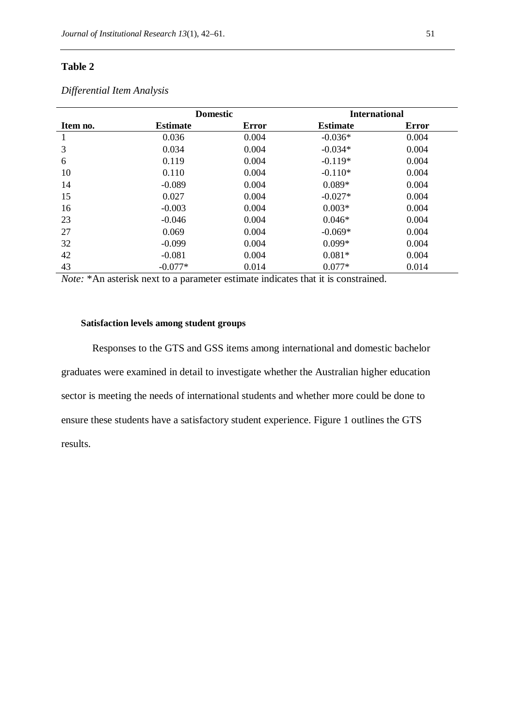|                                        |                              | <b>Domestic</b> |                            | <b>International</b> |
|----------------------------------------|------------------------------|-----------------|----------------------------|----------------------|
| Item no.                               | <b>Estimate</b>              | <b>Error</b>    | <b>Estimate</b>            | <b>Error</b>         |
| 1                                      | 0.036                        | 0.004           | $-0.036*$                  | 0.004                |
| 3                                      | 0.034                        | 0.004           | $-0.034*$                  | 0.004                |
| 6                                      | 0.119                        | 0.004           | $-0.119*$                  | 0.004                |
| 10                                     | 0.110                        | 0.004           | $-0.110*$                  | 0.004                |
| 14                                     | $-0.089$                     | 0.004           | $0.089*$                   | 0.004                |
| 15                                     | 0.027                        | 0.004           | $-0.027*$                  | 0.004                |
| 16                                     | $-0.003$                     | 0.004           | $0.003*$                   | 0.004                |
| 23                                     | $-0.046$                     | 0.004           | $0.046*$                   | 0.004                |
| 27                                     | 0.069                        | 0.004           | $-0.069*$                  | 0.004                |
| 32                                     | $-0.099$                     | 0.004           | $0.099*$                   | 0.004                |
| 42                                     | $-0.081$                     | 0.004           | $0.081*$                   | 0.004                |
| 43<br>$\cdot$ $\cdot$<br>$\sim$ $\sim$ | $-0.077*$<br>$\cdot$ $\cdot$ | 0.014           | $0.077*$<br>$\cdot$<br>. . | 0.014<br>$\sim$      |

## *Differential Item Analysis*

*Note:* \*An asterisk next to a parameter estimate indicates that it is constrained.

## **Satisfaction levels among student groups**

Responses to the GTS and GSS items among international and domestic bachelor graduates were examined in detail to investigate whether the Australian higher education sector is meeting the needs of international students and whether more could be done to ensure these students have a satisfactory student experience. Figure 1 outlines the GTS results.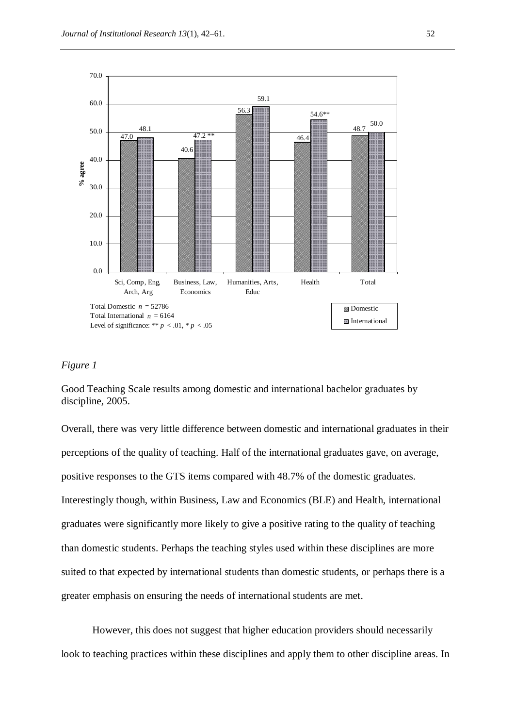

# *Figure 1*

Good Teaching Scale results among domestic and international bachelor graduates by discipline, 2005.

Overall, there was very little difference between domestic and international graduates in their perceptions of the quality of teaching. Half of the international graduates gave, on average, positive responses to the GTS items compared with 48.7% of the domestic graduates. Interestingly though, within Business, Law and Economics (BLE) and Health, international graduates were significantly more likely to give a positive rating to the quality of teaching than domestic students. Perhaps the teaching styles used within these disciplines are more suited to that expected by international students than domestic students, or perhaps there is a greater emphasis on ensuring the needs of international students are met.

However, this does not suggest that higher education providers should necessarily look to teaching practices within these disciplines and apply them to other discipline areas. In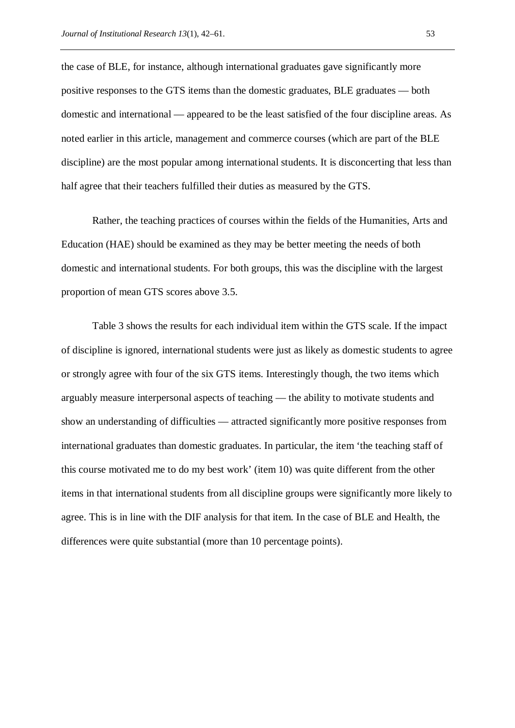the case of BLE, for instance, although international graduates gave significantly more positive responses to the GTS items than the domestic graduates, BLE graduates — both domestic and international — appeared to be the least satisfied of the four discipline areas. As noted earlier in this article, management and commerce courses (which are part of the BLE discipline) are the most popular among international students. It is disconcerting that less than half agree that their teachers fulfilled their duties as measured by the GTS.

Rather, the teaching practices of courses within the fields of the Humanities, Arts and Education (HAE) should be examined as they may be better meeting the needs of both domestic and international students. For both groups, this was the discipline with the largest proportion of mean GTS scores above 3.5.

Table 3 shows the results for each individual item within the GTS scale. If the impact of discipline is ignored, international students were just as likely as domestic students to agree or strongly agree with four of the six GTS items. Interestingly though, the two items which arguably measure interpersonal aspects of teaching — the ability to motivate students and show an understanding of difficulties — attracted significantly more positive responses from international graduates than domestic graduates. In particular, the item 'the teaching staff of this course motivated me to do my best work' (item 10) was quite different from the other items in that international students from all discipline groups were significantly more likely to agree. This is in line with the DIF analysis for that item. In the case of BLE and Health, the differences were quite substantial (more than 10 percentage points).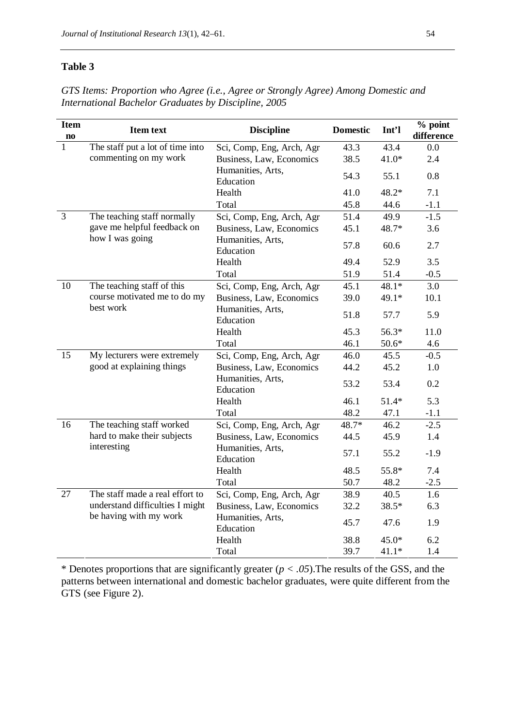*GTS Items: Proportion who Agree (i.e., Agree or Strongly Agree) Among Domestic and International Bachelor Graduates by Discipline, 2005*

| <b>Item</b><br>$\mathbf{n}\mathbf{o}$ | <b>Item text</b>                 | <b>Discipline</b>              | <b>Domestic</b> | Int'l   | $%$ point<br>difference |
|---------------------------------------|----------------------------------|--------------------------------|-----------------|---------|-------------------------|
| 1                                     | The staff put a lot of time into | Sci, Comp, Eng, Arch, Agr      | 43.3            | 43.4    | 0.0                     |
|                                       | commenting on my work            | Business, Law, Economics       | 38.5            | $41.0*$ | 2.4                     |
|                                       |                                  | Humanities, Arts,<br>Education | 54.3            | 55.1    | 0.8                     |
|                                       |                                  | Health                         | 41.0            | 48.2*   | 7.1                     |
|                                       |                                  | Total                          | 45.8            | 44.6    | $-1.1$                  |
| $\overline{3}$                        | The teaching staff normally      | Sci, Comp, Eng, Arch, Agr      | 51.4            | 49.9    | $-1.5$                  |
|                                       | gave me helpful feedback on      | Business, Law, Economics       | 45.1            | 48.7*   | 3.6                     |
|                                       | how I was going                  | Humanities, Arts,<br>Education | 57.8            | 60.6    | 2.7                     |
|                                       |                                  | Health                         | 49.4            | 52.9    | 3.5                     |
|                                       |                                  | Total                          | 51.9            | 51.4    | $-0.5$                  |
| 10                                    | The teaching staff of this       | Sci, Comp, Eng, Arch, Agr      | 45.1            | $48.1*$ | 3.0                     |
|                                       | course motivated me to do my     | Business, Law, Economics       | 39.0            | 49.1*   | 10.1                    |
|                                       | best work                        | Humanities, Arts,<br>Education | 51.8            | 57.7    | 5.9                     |
|                                       |                                  | Health                         | 45.3            | 56.3*   | 11.0                    |
|                                       |                                  | Total                          | 46.1            | $50.6*$ | 4.6                     |
| 15                                    | My lecturers were extremely      | Sci, Comp, Eng, Arch, Agr      | 46.0            | 45.5    | $-0.5$                  |
|                                       | good at explaining things        | Business, Law, Economics       | 44.2            | 45.2    | 1.0                     |
|                                       |                                  | Humanities, Arts,<br>Education | 53.2            | 53.4    | 0.2                     |
|                                       |                                  | Health                         | 46.1            | $51.4*$ | 5.3                     |
|                                       |                                  | Total                          | 48.2            | 47.1    | $-1.1$                  |
| 16                                    | The teaching staff worked        | Sci, Comp, Eng, Arch, Agr      | 48.7*           | 46.2    | $-2.5$                  |
|                                       | hard to make their subjects      | Business, Law, Economics       | 44.5            | 45.9    | 1.4                     |
|                                       | interesting                      | Humanities, Arts,<br>Education | 57.1            | 55.2    | $-1.9$                  |
|                                       |                                  | Health                         | 48.5            | 55.8*   | 7.4                     |
|                                       |                                  | Total                          | 50.7            | 48.2    | $-2.5$                  |
| 27                                    | The staff made a real effort to  | Sci, Comp, Eng, Arch, Agr      | 38.9            | 40.5    | 1.6                     |
|                                       | understand difficulties I might  | Business, Law, Economics       | 32.2            | 38.5*   | 6.3                     |
|                                       | be having with my work           | Humanities, Arts,<br>Education | 45.7            | 47.6    | 1.9                     |
|                                       |                                  | Health                         | 38.8            | $45.0*$ | 6.2                     |
|                                       |                                  | Total                          | 39.7            | $41.1*$ | 1.4                     |

\* Denotes proportions that are significantly greater  $(p < .05)$ . The results of the GSS, and the patterns between international and domestic bachelor graduates, were quite different from the GTS (see Figure 2).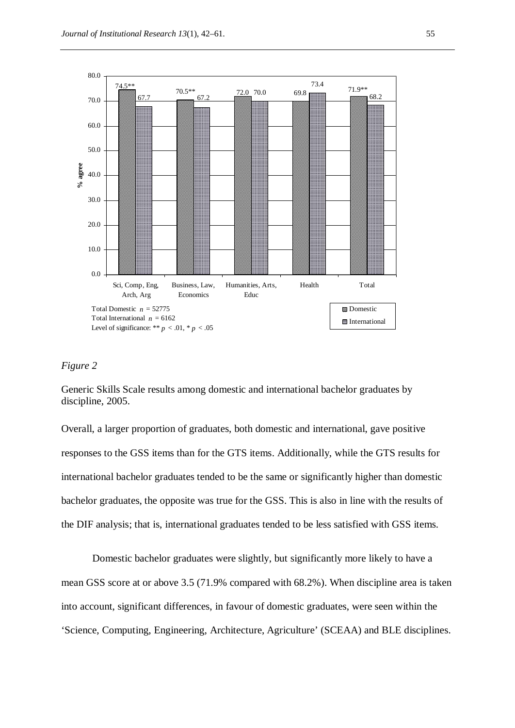

# *Figure 2*

Generic Skills Scale results among domestic and international bachelor graduates by discipline, 2005.

Overall, a larger proportion of graduates, both domestic and international, gave positive responses to the GSS items than for the GTS items. Additionally, while the GTS results for international bachelor graduates tended to be the same or significantly higher than domestic bachelor graduates, the opposite was true for the GSS. This is also in line with the results of the DIF analysis; that is, international graduates tended to be less satisfied with GSS items.

Domestic bachelor graduates were slightly, but significantly more likely to have a mean GSS score at or above 3.5 (71.9% compared with 68.2%). When discipline area is taken into account, significant differences, in favour of domestic graduates, were seen within the 'Science, Computing, Engineering, Architecture, Agriculture' (SCEAA) and BLE disciplines.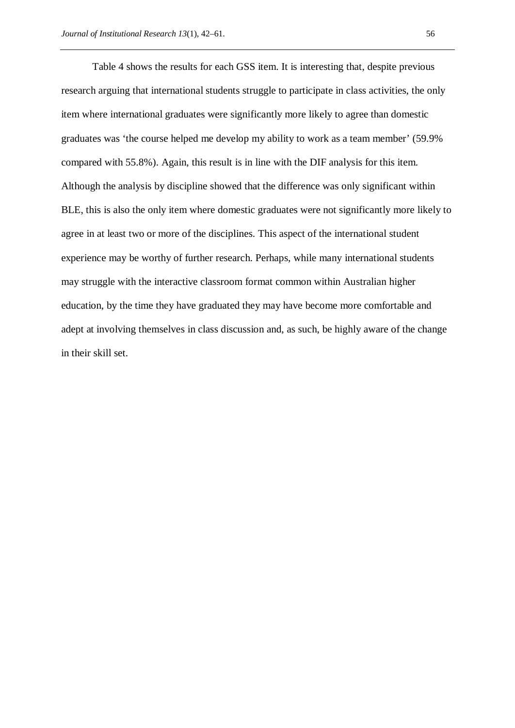Table 4 shows the results for each GSS item. It is interesting that, despite previous research arguing that international students struggle to participate in class activities, the only item where international graduates were significantly more likely to agree than domestic graduates was 'the course helped me develop my ability to work as a team member' (59.9% compared with 55.8%). Again, this result is in line with the DIF analysis for this item. Although the analysis by discipline showed that the difference was only significant within BLE, this is also the only item where domestic graduates were not significantly more likely to agree in at least two or more of the disciplines. This aspect of the international student experience may be worthy of further research. Perhaps, while many international students may struggle with the interactive classroom format common within Australian higher education, by the time they have graduated they may have become more comfortable and adept at involving themselves in class discussion and, as such, be highly aware of the change in their skill set.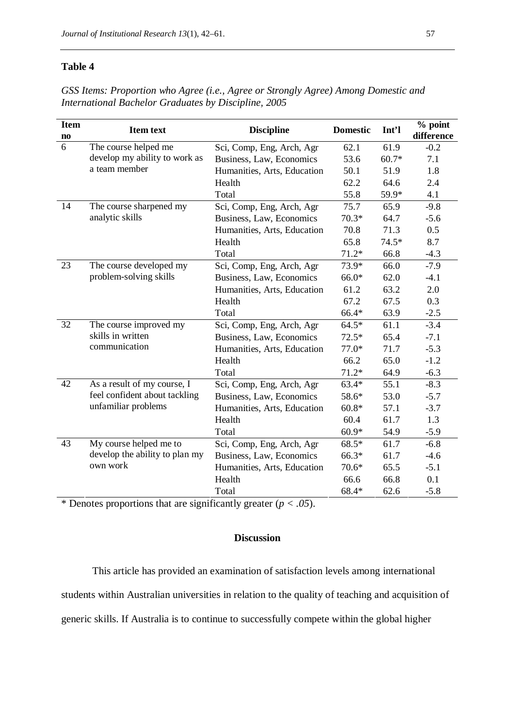*GSS Items: Proportion who Agree (i.e., Agree or Strongly Agree) Among Domestic and International Bachelor Graduates by Discipline, 2005*

| <b>Item</b><br>$\mathbf{n}\mathbf{o}$ | <b>Item text</b><br><b>Discipline</b> |                             | <b>Domestic</b> | Int'l   | % point<br>difference |
|---------------------------------------|---------------------------------------|-----------------------------|-----------------|---------|-----------------------|
| 6                                     | The course helped me                  | Sci, Comp, Eng, Arch, Agr   | 62.1            | 61.9    | $-0.2$                |
|                                       | develop my ability to work as         | Business, Law, Economics    | 53.6            | $60.7*$ | 7.1                   |
|                                       | a team member                         | Humanities, Arts, Education | 50.1            | 51.9    | 1.8                   |
|                                       |                                       | Health                      | 62.2            | 64.6    | 2.4                   |
|                                       |                                       | Total                       | 55.8            | 59.9*   | 4.1                   |
| 14                                    | The course sharpened my               | Sci, Comp, Eng, Arch, Agr   | 75.7            | 65.9    | $-9.8$                |
|                                       | analytic skills                       | Business, Law, Economics    | $70.3*$         | 64.7    | $-5.6$                |
|                                       |                                       | Humanities, Arts, Education | 70.8            | 71.3    | 0.5                   |
|                                       |                                       | Health                      | 65.8            | 74.5*   | 8.7                   |
|                                       |                                       | Total                       | $71.2*$         | 66.8    | $-4.3$                |
| 23                                    | The course developed my               | Sci, Comp, Eng, Arch, Agr   | 73.9*           | 66.0    | $-7.9$                |
|                                       | problem-solving skills                | Business, Law, Economics    | 66.0*           | 62.0    | $-4.1$                |
|                                       |                                       | Humanities, Arts, Education | 61.2            | 63.2    | 2.0                   |
|                                       |                                       | Health                      | 67.2            | 67.5    | 0.3                   |
|                                       |                                       | Total                       | 66.4*           | 63.9    | $-2.5$                |
| 32                                    | The course improved my                | Sci, Comp, Eng, Arch, Agr   | $64.5*$         | 61.1    | $-3.4$                |
|                                       | skills in written                     | Business, Law, Economics    | $72.5*$         | 65.4    | $-7.1$                |
|                                       | communication                         | Humanities, Arts, Education | $77.0*$         | 71.7    | $-5.3$                |
|                                       |                                       | Health                      | 66.2            | 65.0    | $-1.2$                |
|                                       |                                       | Total                       | $71.2*$         | 64.9    | $-6.3$                |
| 42                                    | As a result of my course, I           | Sci, Comp, Eng, Arch, Agr   | $63.4*$         | 55.1    | $-8.3$                |
|                                       | feel confident about tackling         | Business, Law, Economics    | 58.6*           | 53.0    | $-5.7$                |
|                                       | unfamiliar problems                   | Humanities, Arts, Education | $60.8*$         | 57.1    | $-3.7$                |
|                                       |                                       | Health                      | 60.4            | 61.7    | 1.3                   |
|                                       |                                       | Total                       | $60.9*$         | 54.9    | $-5.9$                |
| 43                                    | My course helped me to                | Sci, Comp, Eng, Arch, Agr   | $68.5*$         | 61.7    | $-6.8$                |
|                                       | develop the ability to plan my        | Business, Law, Economics    | 66.3*           | 61.7    | $-4.6$                |
|                                       | own work                              | Humanities, Arts, Education | $70.6*$         | 65.5    | $-5.1$                |
|                                       |                                       | Health                      | 66.6            | 66.8    | 0.1                   |
|                                       |                                       | Total                       | 68.4*           | 62.6    | $-5.8$                |

\* Denotes proportions that are significantly greater  $(p < .05)$ .

# **Discussion**

This article has provided an examination of satisfaction levels among international students within Australian universities in relation to the quality of teaching and acquisition of generic skills. If Australia is to continue to successfully compete within the global higher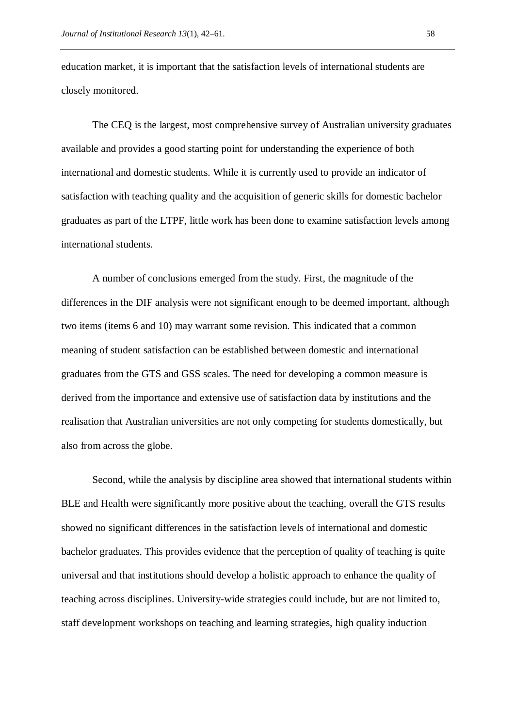education market, it is important that the satisfaction levels of international students are closely monitored.

The CEQ is the largest, most comprehensive survey of Australian university graduates available and provides a good starting point for understanding the experience of both international and domestic students. While it is currently used to provide an indicator of satisfaction with teaching quality and the acquisition of generic skills for domestic bachelor graduates as part of the LTPF, little work has been done to examine satisfaction levels among international students.

A number of conclusions emerged from the study. First, the magnitude of the differences in the DIF analysis were not significant enough to be deemed important, although two items (items 6 and 10) may warrant some revision. This indicated that a common meaning of student satisfaction can be established between domestic and international graduates from the GTS and GSS scales. The need for developing a common measure is derived from the importance and extensive use of satisfaction data by institutions and the realisation that Australian universities are not only competing for students domestically, but also from across the globe.

Second, while the analysis by discipline area showed that international students within BLE and Health were significantly more positive about the teaching, overall the GTS results showed no significant differences in the satisfaction levels of international and domestic bachelor graduates. This provides evidence that the perception of quality of teaching is quite universal and that institutions should develop a holistic approach to enhance the quality of teaching across disciplines. University-wide strategies could include, but are not limited to, staff development workshops on teaching and learning strategies, high quality induction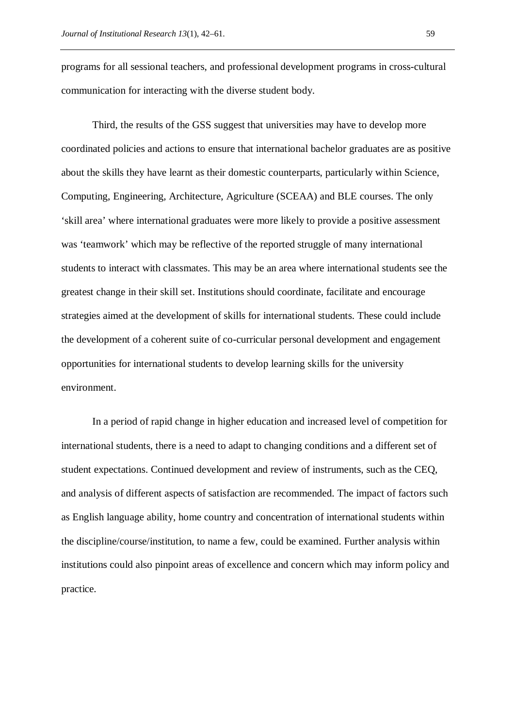programs for all sessional teachers, and professional development programs in cross-cultural communication for interacting with the diverse student body.

Third, the results of the GSS suggest that universities may have to develop more coordinated policies and actions to ensure that international bachelor graduates are as positive about the skills they have learnt as their domestic counterparts, particularly within Science, Computing, Engineering, Architecture, Agriculture (SCEAA) and BLE courses. The only 'skill area' where international graduates were more likely to provide a positive assessment was 'teamwork' which may be reflective of the reported struggle of many international students to interact with classmates. This may be an area where international students see the greatest change in their skill set. Institutions should coordinate, facilitate and encourage strategies aimed at the development of skills for international students. These could include the development of a coherent suite of co-curricular personal development and engagement opportunities for international students to develop learning skills for the university environment.

In a period of rapid change in higher education and increased level of competition for international students, there is a need to adapt to changing conditions and a different set of student expectations. Continued development and review of instruments, such as the CEQ, and analysis of different aspects of satisfaction are recommended. The impact of factors such as English language ability, home country and concentration of international students within the discipline/course/institution, to name a few, could be examined. Further analysis within institutions could also pinpoint areas of excellence and concern which may inform policy and practice.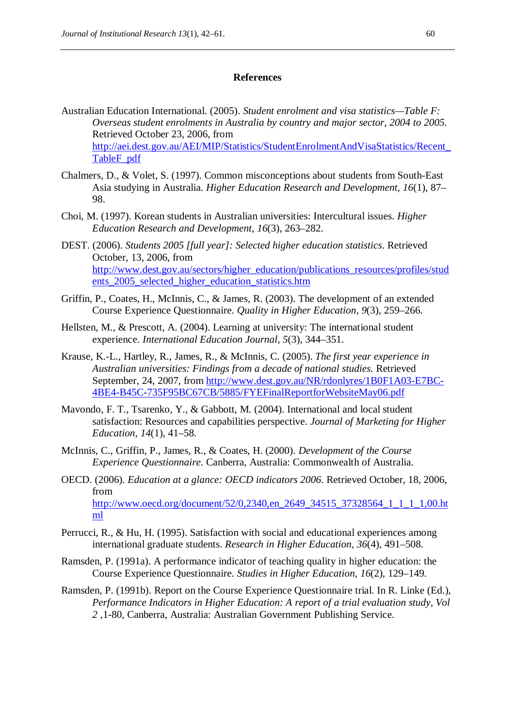#### **References**

- Australian Education International. (2005). *Student enrolment and visa statistics—Table F: Overseas student enrolments in Australia by country and major sector, 2004 to 2005*. Retrieved October 23, 2006, from http://aei.dest.gov.au/AEI/MIP/Statistics/StudentEnrolmentAndVisaStatistics/Recent\_ TableF\_pdf
- Chalmers, D., & Volet, S. (1997). Common misconceptions about students from South-East Asia studying in Australia. *Higher Education Research and Development, 16*(1), 87– 98.
- Choi, M. (1997). Korean students in Australian universities: Intercultural issues. *Higher Education Research and Development, 16*(3), 263–282.
- DEST. (2006). *Students 2005 [full year]: Selected higher education statistics*. Retrieved October, 13, 2006, from http://www.dest.gov.au/sectors/higher\_education/publications\_resources/profiles/stud ents 2005 selected higher education statistics.htm
- Griffin, P., Coates, H., McInnis, C., & James, R. (2003). The development of an extended Course Experience Questionnaire. *Quality in Higher Education, 9*(3), 259–266.
- Hellsten, M., & Prescott, A. (2004). Learning at university: The international student experience. *International Education Journal, 5*(3), 344–351.
- Krause, K.-L., Hartley, R., James, R., & McInnis, C. (2005). *The first year experience in Australian universities: Findings from a decade of national studies.* Retrieved September, 24, 2007, from http://www.dest.gov.au/NR/rdonlyres/1B0F1A03-E7BC-4BE4-B45C-735F95BC67CB/5885/FYEFinalReportforWebsiteMay06.pdf
- Mavondo, F. T., Tsarenko, Y., & Gabbott, M. (2004). International and local student satisfaction: Resources and capabilities perspective. *Journal of Marketing for Higher Education, 14*(1), 41–58.
- McInnis, C., Griffin, P., James, R., & Coates, H. (2000). *Development of the Course Experience Questionnaire*. Canberra, Australia: Commonwealth of Australia.
- OECD. (2006). *Education at a glance: OECD indicators 2006*. Retrieved October, 18, 2006, from http://www.oecd.org/document/52/0,2340,en\_2649\_34515\_37328564\_1\_1\_1\_1,00.ht ml
- Perrucci, R., & Hu, H. (1995). Satisfaction with social and educational experiences among international graduate students. *Research in Higher Education, 36*(4), 491–508.
- Ramsden, P. (1991a). A performance indicator of teaching quality in higher education: the Course Experience Questionnaire. *Studies in Higher Education, 16*(2), 129–149.
- Ramsden, P. (1991b). Report on the Course Experience Questionnaire trial. In R. Linke (Ed.), *Performance Indicators in Higher Education: A report of a trial evaluation study, Vol 2* ,1-80*,* Canberra, Australia: Australian Government Publishing Service.